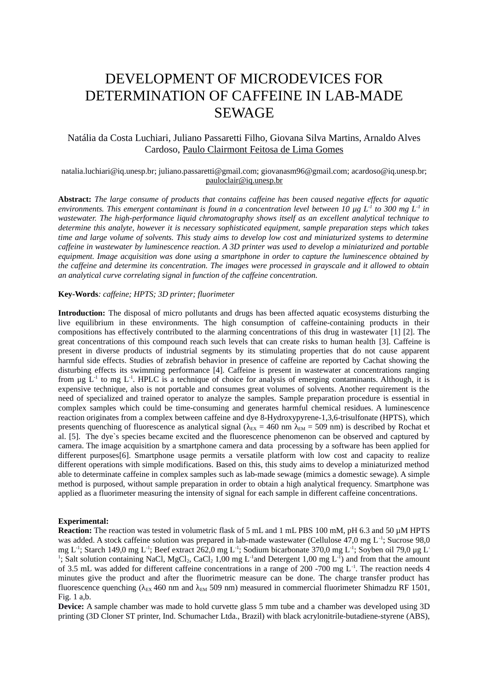# DEVELOPMENT OF MICRODEVICES FOR DETERMINATION OF CAFFEINE IN LAB-MADE SEWAGE

## Natália da Costa Luchiari, Juliano Passaretti Filho, Giovana Silva Martins, Arnaldo Alves Cardoso, Paulo Clairmont Feitosa de Lima Gomes

### [natalia.luchiari@iq.unesp.br;](mailto:natalia.luchiari@iq.unesp.br) juliano.passaretti@gmail.com; giovanasm96@gmail.com; acardoso@iq.unesp.br; pauloclair@iq.unesp.br

**Abstract:** *The large consume of products that contains caffeine has been caused negative effects for aquatic environments. This emergent contaminant is found in a concentration level between 10 μg L-1 to 300 mg L-1 in wastewater. The high-performance liquid chromatography shows itself as an excellent analytical technique to determine this analyte, however it is necessary sophisticated equipment, sample preparation steps which takes time and large volume of solvents. This study aims to develop low cost and miniaturized systems to determine caffeine in wastewater by luminescence reaction. A 3D printer was used to develop a miniaturized and portable equipment. Image acquisition was done using a smartphone in order to capture the luminescence obtained by the caffeine and determine its concentration. The images were processed in grayscale and it allowed to obtain an analytical curve correlating signal in function of the caffeine concentration.* 

#### **Key-Words***: caffeine; HPTS; 3D printer; fluorimeter*

**Introduction:** The disposal of micro pollutants and drugs has been affected aquatic ecosystems disturbing the live equilibrium in these environments. The high consumption of caffeine-containing products in their compositions has effectively contributed to the alarming concentrations of this drug in wastewater [1] [2]. The great concentrations of this compound reach such levels that can create risks to human health [3]. Caffeine is present in diverse products of industrial segments by its stimulating properties that do not cause apparent harmful side effects. Studies of zebrafish behavior in presence of caffeine are reported by Cachat showing the disturbing effects its swimming performance [4]. Caffeine is present in wastewater at concentrations ranging from μg  $L<sup>-1</sup>$  to mg  $L<sup>-1</sup>$ . HPLC is a technique of choice for analysis of emerging contaminants. Although, it is expensive technique, also is not portable and consumes great volumes of solvents. Another requirement is the need of specialized and trained operator to analyze the samples. Sample preparation procedure is essential in complex samples which could be time-consuming and generates harmful chemical residues. A luminescence reaction originates from a complex between caffeine and dye 8-Hydroxypyrene-1,3,6-trisulfonate (HPTS), which presents quenching of fluorescence as analytical signal ( $\lambda_{EX}$  = 460 nm  $\lambda_{EM}$  = 509 nm) is described by Rochat et al. [5]. The dye`s species became excited and the fluorescence phenomenon can be observed and captured by camera. The image acquisition by a smartphone camera and data processing by a software has been applied for different purposes[6]. Smartphone usage permits a versatile platform with low cost and capacity to realize different operations with simple modifications. Based on this, this study aims to develop a miniaturized method able to determinate caffeine in complex samples such as lab-made sewage (mimics a domestic sewage). A simple method is purposed, without sample preparation in order to obtain a high analytical frequency. Smartphone was applied as a fluorimeter measuring the intensity of signal for each sample in different caffeine concentrations.

#### **Experimental:**

**Reaction:** The reaction was tested in volumetric flask of 5 mL and 1 mL PBS 100 mM, pH 6.3 and 50 µM HPTS was added. A stock caffeine solution was prepared in lab-made wastewater (Cellulose 47,0 mg L<sup>-1</sup>; Sucrose 98,0 mg L<sup>-1</sup>; Starch 149,0 mg L<sup>-1</sup>; Beef extract 262,0 mg L<sup>-1</sup>; Sodium bicarbonate 370,0 mg L<sup>-1</sup>; Soyben oil 79,0 μg L<sup>-1</sup> <sup>1</sup>; Salt solution containing NaCl, MgCl<sub>2</sub>, CaCl<sub>2</sub> 1,00 mg L<sup>-1</sup>and Detergent 1,00 mg L<sup>-1</sup>) and from that the amount of 3.5 mL was added for different caffeine concentrations in a range of 200 -700 mg L-1. The reaction needs 4 minutes give the product and after the fluorimetric measure can be done. The charge transfer product has fluorescence quenching ( $\lambda_{EX}$  460 nm and  $\lambda_{EM}$  509 nm) measured in commercial fluorimeter Shimadzu RF 1501, Fig. 1 a,b.

**Device:** A sample chamber was made to hold curvette glass 5 mm tube and a chamber was developed using 3D printing (3D Cloner ST printer, Ind. Schumacher Ltda., Brazil) with black acrylonitrile-butadiene-styrene (ABS),